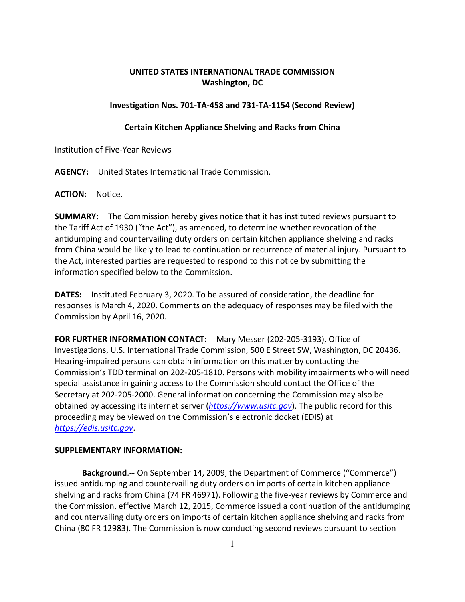## **UNITED STATES INTERNATIONAL TRADE COMMISSION Washington, DC**

## **Investigation Nos. 701-TA-458 and 731-TA-1154 (Second Review)**

## **Certain Kitchen Appliance Shelving and Racks from China**

Institution of Five-Year Reviews

**AGENCY:** United States International Trade Commission.

**ACTION:** Notice.

**SUMMARY:** The Commission hereby gives notice that it has instituted reviews pursuant to the Tariff Act of 1930 ("the Act"), as amended, to determine whether revocation of the antidumping and countervailing duty orders on certain kitchen appliance shelving and racks from China would be likely to lead to continuation or recurrence of material injury. Pursuant to the Act, interested parties are requested to respond to this notice by submitting the information specified below to the Commission.

**DATES:** Instituted February 3, 2020. To be assured of consideration, the deadline for responses is March 4, 2020. Comments on the adequacy of responses may be filed with the Commission by April 16, 2020.

**FOR FURTHER INFORMATION CONTACT:** Mary Messer (202-205-3193), Office of Investigations, U.S. International Trade Commission, 500 E Street SW, Washington, DC 20436. Hearing-impaired persons can obtain information on this matter by contacting the Commission's TDD terminal on 202-205-1810. Persons with mobility impairments who will need special assistance in gaining access to the Commission should contact the Office of the Secretary at 202-205-2000. General information concerning the Commission may also be obtained by accessing its internet server (*[https://www.usitc.gov](https://www.usitc.gov/)*). The public record for this proceeding may be viewed on the Commission's electronic docket (EDIS) at *[https://edis.usitc.gov](https://edis.usitc.gov/)*.

## **SUPPLEMENTARY INFORMATION:**

**Background**.-- On September 14, 2009, the Department of Commerce ("Commerce") issued antidumping and countervailing duty orders on imports of certain kitchen appliance shelving and racks from China (74 FR 46971). Following the five-year reviews by Commerce and the Commission, effective March 12, 2015, Commerce issued a continuation of the antidumping and countervailing duty orders on imports of certain kitchen appliance shelving and racks from China (80 FR 12983). The Commission is now conducting second reviews pursuant to section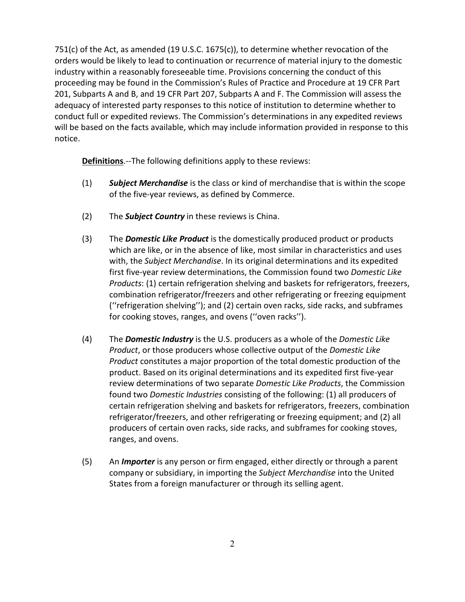751(c) of the Act, as amended (19 U.S.C. 1675(c)), to determine whether revocation of the orders would be likely to lead to continuation or recurrence of material injury to the domestic industry within a reasonably foreseeable time. Provisions concerning the conduct of this proceeding may be found in the Commission's Rules of Practice and Procedure at 19 CFR Part 201, Subparts A and B, and 19 CFR Part 207, Subparts A and F. The Commission will assess the adequacy of interested party responses to this notice of institution to determine whether to conduct full or expedited reviews. The Commission's determinations in any expedited reviews will be based on the facts available, which may include information provided in response to this notice.

**Definitions**.--The following definitions apply to these reviews:

- (1) *Subject Merchandise* is the class or kind of merchandise that is within the scope of the five-year reviews, as defined by Commerce.
- (2) The *Subject Country* in these reviews is China.
- (3) The *Domestic Like Product* is the domestically produced product or products which are like, or in the absence of like, most similar in characteristics and uses with, the *Subject Merchandise*. In its original determinations and its expedited first five-year review determinations, the Commission found two *Domestic Like Products*: (1) certain refrigeration shelving and baskets for refrigerators, freezers, combination refrigerator/freezers and other refrigerating or freezing equipment (''refrigeration shelving''); and (2) certain oven racks, side racks, and subframes for cooking stoves, ranges, and ovens (''oven racks'').
- (4) The *Domestic Industry* is the U.S. producers as a whole of the *Domestic Like Product*, or those producers whose collective output of the *Domestic Like Product* constitutes a major proportion of the total domestic production of the product. Based on its original determinations and its expedited first five-year review determinations of two separate *Domestic Like Products*, the Commission found two *Domestic Industries* consisting of the following: (1) all producers of certain refrigeration shelving and baskets for refrigerators, freezers, combination refrigerator/freezers, and other refrigerating or freezing equipment; and (2) all producers of certain oven racks, side racks, and subframes for cooking stoves, ranges, and ovens.
- (5) An *Importer* is any person or firm engaged, either directly or through a parent company or subsidiary, in importing the *Subject Merchandise* into the United States from a foreign manufacturer or through its selling agent.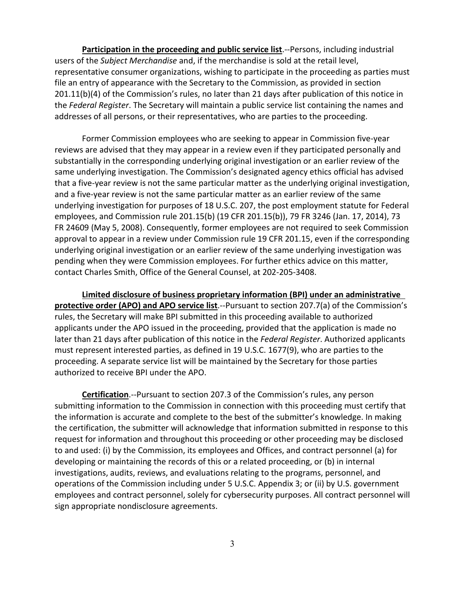**Participation in the proceeding and public service list**.--Persons, including industrial users of the *Subject Merchandise* and, if the merchandise is sold at the retail level, representative consumer organizations, wishing to participate in the proceeding as parties must file an entry of appearance with the Secretary to the Commission, as provided in section 201.11(b)(4) of the Commission's rules, no later than 21 days after publication of this notice in the *Federal Register*. The Secretary will maintain a public service list containing the names and addresses of all persons, or their representatives, who are parties to the proceeding.

Former Commission employees who are seeking to appear in Commission five-year reviews are advised that they may appear in a review even if they participated personally and substantially in the corresponding underlying original investigation or an earlier review of the same underlying investigation. The Commission's designated agency ethics official has advised that a five-year review is not the same particular matter as the underlying original investigation, and a five-year review is not the same particular matter as an earlier review of the same underlying investigation for purposes of 18 U.S.C. 207, the post employment statute for Federal employees, and Commission rule 201.15(b) (19 CFR 201.15(b)), 79 FR 3246 (Jan. 17, 2014), 73 FR 24609 (May 5, 2008). Consequently, former employees are not required to seek Commission approval to appear in a review under Commission rule 19 CFR 201.15, even if the corresponding underlying original investigation or an earlier review of the same underlying investigation was pending when they were Commission employees. For further ethics advice on this matter, contact Charles Smith, Office of the General Counsel, at 202-205-3408.

**Limited disclosure of business proprietary information (BPI) under an administrative protective order (APO) and APO service list**.--Pursuant to section 207.7(a) of the Commission's rules, the Secretary will make BPI submitted in this proceeding available to authorized applicants under the APO issued in the proceeding, provided that the application is made no later than 21 days after publication of this notice in the *Federal Register*. Authorized applicants must represent interested parties, as defined in 19 U.S.C. 1677(9), who are parties to the proceeding. A separate service list will be maintained by the Secretary for those parties authorized to receive BPI under the APO.

**Certification**.--Pursuant to section 207.3 of the Commission's rules, any person submitting information to the Commission in connection with this proceeding must certify that the information is accurate and complete to the best of the submitter's knowledge. In making the certification, the submitter will acknowledge that information submitted in response to this request for information and throughout this proceeding or other proceeding may be disclosed to and used: (i) by the Commission, its employees and Offices, and contract personnel (a) for developing or maintaining the records of this or a related proceeding, or (b) in internal investigations, audits, reviews, and evaluations relating to the programs, personnel, and operations of the Commission including under 5 U.S.C. Appendix 3; or (ii) by U.S. government employees and contract personnel, solely for cybersecurity purposes. All contract personnel will sign appropriate nondisclosure agreements.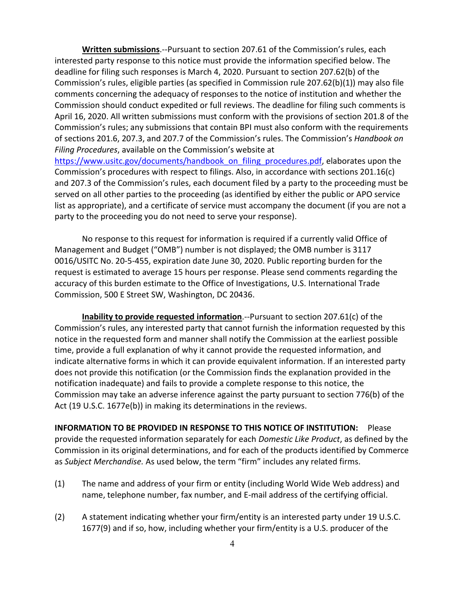**Written submissions**.--Pursuant to section 207.61 of the Commission's rules, each interested party response to this notice must provide the information specified below. The deadline for filing such responses is March 4, 2020. Pursuant to section 207.62(b) of the Commission's rules, eligible parties (as specified in Commission rule 207.62(b)(1)) may also file comments concerning the adequacy of responses to the notice of institution and whether the Commission should conduct expedited or full reviews. The deadline for filing such comments is April 16, 2020. All written submissions must conform with the provisions of section 201.8 of the Commission's rules; any submissions that contain BPI must also conform with the requirements of sections 201.6, 207.3, and 207.7 of the Commission's rules. The Commission's *Handbook on Filing Procedures*, available on the Commission's website at [https://www.usitc.gov/documents/handbook\\_on\\_filing\\_procedures.pdf,](https://www.usitc.gov/documents/handbook_on_filing_procedures.pdf) elaborates upon the Commission's procedures with respect to filings. Also, in accordance with sections 201.16(c) and 207.3 of the Commission's rules, each document filed by a party to the proceeding must be served on all other parties to the proceeding (as identified by either the public or APO service list as appropriate), and a certificate of service must accompany the document (if you are not a party to the proceeding you do not need to serve your response).

No response to this request for information is required if a currently valid Office of Management and Budget ("OMB") number is not displayed; the OMB number is 3117 0016/USITC No. 20-5-455, expiration date June 30, 2020. Public reporting burden for the request is estimated to average 15 hours per response. Please send comments regarding the accuracy of this burden estimate to the Office of Investigations, U.S. International Trade Commission, 500 E Street SW, Washington, DC 20436.

**Inability to provide requested information**.--Pursuant to section 207.61(c) of the Commission's rules, any interested party that cannot furnish the information requested by this notice in the requested form and manner shall notify the Commission at the earliest possible time, provide a full explanation of why it cannot provide the requested information, and indicate alternative forms in which it can provide equivalent information. If an interested party does not provide this notification (or the Commission finds the explanation provided in the notification inadequate) and fails to provide a complete response to this notice, the Commission may take an adverse inference against the party pursuant to section 776(b) of the Act (19 U.S.C. 1677e(b)) in making its determinations in the reviews.

**INFORMATION TO BE PROVIDED IN RESPONSE TO THIS NOTICE OF INSTITUTION:** Please provide the requested information separately for each *Domestic Like Product*, as defined by the Commission in its original determinations, and for each of the products identified by Commerce as *Subject Merchandise.* As used below, the term "firm" includes any related firms.

- (1) The name and address of your firm or entity (including World Wide Web address) and name, telephone number, fax number, and E-mail address of the certifying official.
- (2) A statement indicating whether your firm/entity is an interested party under 19 U.S.C. 1677(9) and if so, how, including whether your firm/entity is a U.S. producer of the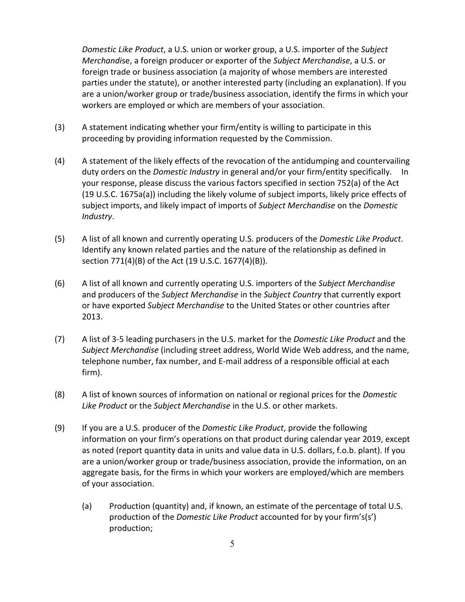*Domestic Like Product*, a U.S. union or worker group, a U.S. importer of the *Subject Merchandi*se, a foreign producer or exporter of the *Subject Merchandise*, a U.S. or foreign trade or business association (a majority of whose members are interested parties under the statute), or another interested party (including an explanation). If you are a union/worker group or trade/business association, identify the firms in which your workers are employed or which are members of your association.

- (3) A statement indicating whether your firm/entity is willing to participate in this proceeding by providing information requested by the Commission.
- (4) A statement of the likely effects of the revocation of the antidumping and countervailing duty orders on the *Domestic Industry* in general and/or your firm/entity specifically. In your response, please discuss the various factors specified in section 752(a) of the Act (19 U.S.C. 1675a(a)) including the likely volume of subject imports, likely price effects of subject imports, and likely impact of imports of *Subject Merchandise* on the *Domestic Industry*.
- (5) A list of all known and currently operating U.S. producers of the *Domestic Like Product*. Identify any known related parties and the nature of the relationship as defined in section 771(4)(B) of the Act (19 U.S.C. 1677(4)(B)).
- (6) A list of all known and currently operating U.S. importers of the *Subject Merchandise* and producers of the *Subject Merchandise* in the *Subject Country* that currently export or have exported *Subject Merchandise* to the United States or other countries after 2013.
- (7) A list of 3-5 leading purchasers in the U.S. market for the *Domestic Like Product* and the *Subject Merchandise* (including street address, World Wide Web address, and the name, telephone number, fax number, and E-mail address of a responsible official at each firm).
- (8) A list of known sources of information on national or regional prices for the *Domestic Like Product* or the *Subject Merchandise* in the U.S. or other markets.
- (9) If you are a U.S. producer of the *Domestic Like Product*, provide the following information on your firm's operations on that product during calendar year 2019, except as noted (report quantity data in units and value data in U.S. dollars, f.o.b. plant). If you are a union/worker group or trade/business association, provide the information, on an aggregate basis, for the firms in which your workers are employed/which are members of your association.
	- (a) Production (quantity) and, if known, an estimate of the percentage of total U.S. production of the *Domestic Like Product* accounted for by your firm's(s') production;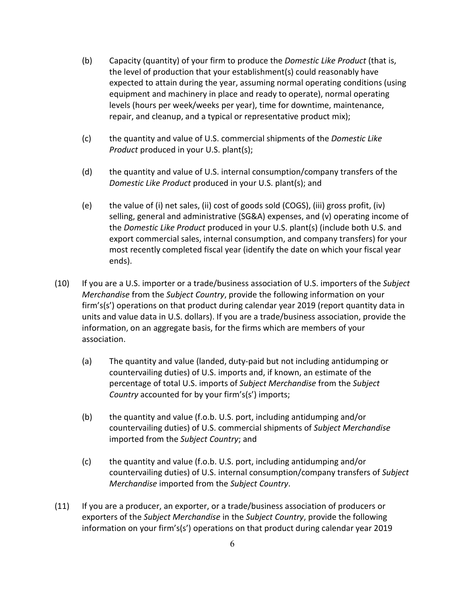- (b) Capacity (quantity) of your firm to produce the *Domestic Like Product* (that is, the level of production that your establishment(s) could reasonably have expected to attain during the year, assuming normal operating conditions (using equipment and machinery in place and ready to operate), normal operating levels (hours per week/weeks per year), time for downtime, maintenance, repair, and cleanup, and a typical or representative product mix);
- (c) the quantity and value of U.S. commercial shipments of the *Domestic Like Product* produced in your U.S. plant(s);
- (d) the quantity and value of U.S. internal consumption/company transfers of the *Domestic Like Product* produced in your U.S. plant(s); and
- (e) the value of (i) net sales, (ii) cost of goods sold (COGS), (iii) gross profit, (iv) selling, general and administrative (SG&A) expenses, and (v) operating income of the *Domestic Like Product* produced in your U.S. plant(s) (include both U.S. and export commercial sales, internal consumption, and company transfers) for your most recently completed fiscal year (identify the date on which your fiscal year ends).
- (10) If you are a U.S. importer or a trade/business association of U.S. importers of the *Subject Merchandise* from the *Subject Country*, provide the following information on your firm's(s') operations on that product during calendar year 2019 (report quantity data in units and value data in U.S. dollars). If you are a trade/business association, provide the information, on an aggregate basis, for the firms which are members of your association.
	- (a) The quantity and value (landed, duty-paid but not including antidumping or countervailing duties) of U.S. imports and, if known, an estimate of the percentage of total U.S. imports of *Subject Merchandise* from the *Subject Country* accounted for by your firm's(s') imports;
	- (b) the quantity and value (f.o.b. U.S. port, including antidumping and/or countervailing duties) of U.S. commercial shipments of *Subject Merchandise* imported from the *Subject Country*; and
	- (c) the quantity and value (f.o.b. U.S. port, including antidumping and/or countervailing duties) of U.S. internal consumption/company transfers of *Subject Merchandise* imported from the *Subject Country*.
- (11) If you are a producer, an exporter, or a trade/business association of producers or exporters of the *Subject Merchandise* in the *Subject Country*, provide the following information on your firm's(s') operations on that product during calendar year 2019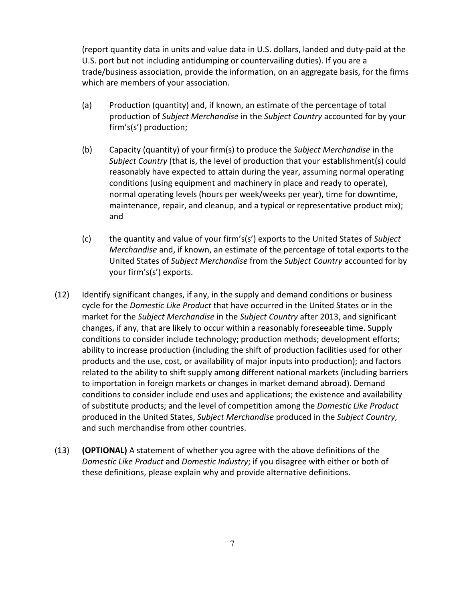(report quantity data in units and value data in U.S. dollars, landed and duty-paid at the U.S. port but not including antidumping or countervailing duties). If you are a trade/business association, provide the information, on an aggregate basis, for the firms which are members of your association.

- (a) Production (quantity) and, if known, an estimate of the percentage of total production of *Subject Merchandise* in the *Subject Country* accounted for by your firm's(s') production;
- (b) Capacity (quantity) of your firm(s) to produce the *Subject Merchandise* in the *Subject Country* (that is, the level of production that your establishment(s) could reasonably have expected to attain during the year, assuming normal operating conditions (using equipment and machinery in place and ready to operate), normal operating levels (hours per week/weeks per year), time for downtime, maintenance, repair, and cleanup, and a typical or representative product mix); and
- (c) the quantity and value of your firm's(s') exports to the United States of *Subject Merchandise* and, if known, an estimate of the percentage of total exports to the United States of *Subject Merchandise* from the *Subject Country* accounted for by your firm's(s') exports.
- (12) Identify significant changes, if any, in the supply and demand conditions or business cycle for the *Domestic Like Product* that have occurred in the United States or in the market for the *Subject Merchandise* in the *Subject Country* after 2013, and significant changes, if any, that are likely to occur within a reasonably foreseeable time. Supply conditions to consider include technology; production methods; development efforts; ability to increase production (including the shift of production facilities used for other products and the use, cost, or availability of major inputs into production); and factors related to the ability to shift supply among different national markets (including barriers to importation in foreign markets or changes in market demand abroad). Demand conditions to consider include end uses and applications; the existence and availability of substitute products; and the level of competition among the *Domestic Like Product* produced in the United States, *Subject Merchandise* produced in the *Subject Country*, and such merchandise from other countries.
- (13) **(OPTIONAL)** A statement of whether you agree with the above definitions of the *Domestic Like Product* and *Domestic Industry*; if you disagree with either or both of these definitions, please explain why and provide alternative definitions.